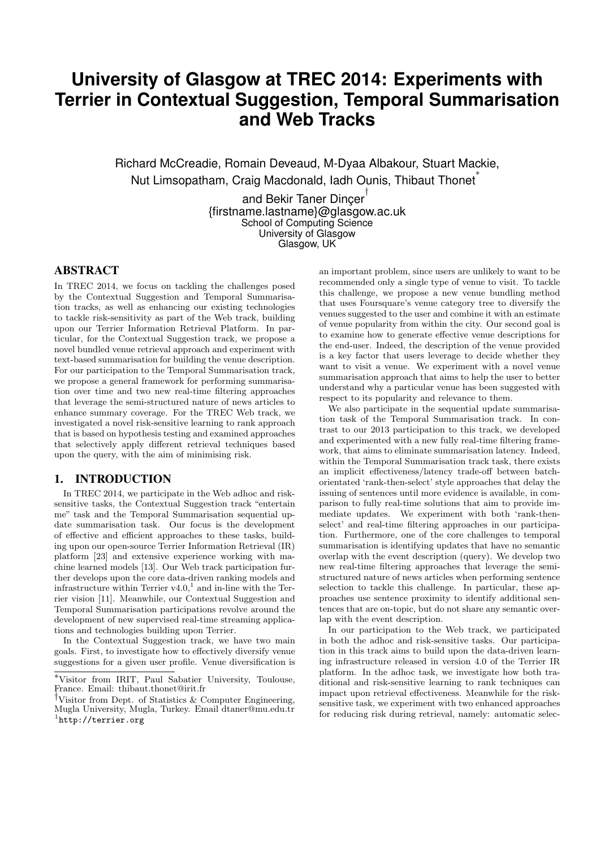# **University of Glasgow at TREC 2014: Experiments with Terrier in Contextual Suggestion, Temporal Summarisation and Web Tracks**

Richard McCreadie, Romain Deveaud, M-Dyaa Albakour, Stuart Mackie, Nut Limsopatham, Craig Macdonald, Iadh Ounis, Thibaut Thonet ∗

> and Bekir Taner Dinçer<sup>†</sup> {firstname.lastname}@glasgow.ac.uk School of Computing Science University of Glasgow Glasgow, UK

# ABSTRACT

In TREC 2014, we focus on tackling the challenges posed by the Contextual Suggestion and Temporal Summarisation tracks, as well as enhancing our existing technologies to tackle risk-sensitivity as part of the Web track, building upon our Terrier Information Retrieval Platform. In particular, for the Contextual Suggestion track, we propose a novel bundled venue retrieval approach and experiment with text-based summarisation for building the venue description. For our participation to the Temporal Summarisation track, we propose a general framework for performing summarisation over time and two new real-time filtering approaches that leverage the semi-structured nature of news articles to enhance summary coverage. For the TREC Web track, we investigated a novel risk-sensitive learning to rank approach that is based on hypothesis testing and examined approaches that selectively apply different retrieval techniques based upon the query, with the aim of minimising risk.

## 1. INTRODUCTION

In TREC 2014, we participate in the Web adhoc and risksensitive tasks, the Contextual Suggestion track "entertain me" task and the Temporal Summarisation sequential update summarisation task. Our focus is the development of effective and efficient approaches to these tasks, building upon our open-source Terrier Information Retrieval (IR) platform [23] and extensive experience working with machine learned models [13]. Our Web track participation further develops upon the core data-driven ranking models and infrastructure within Terrier  $v4.0$ ,<sup>1</sup> and in-line with the Terrier vision [11]. Meanwhile, our Contextual Suggestion and Temporal Summarisation participations revolve around the development of new supervised real-time streaming applications and technologies building upon Terrier.

In the Contextual Suggestion track, we have two main goals. First, to investigate how to effectively diversify venue suggestions for a given user profile. Venue diversification is

an important problem, since users are unlikely to want to be recommended only a single type of venue to visit. To tackle this challenge, we propose a new venue bundling method that uses Foursquare's venue category tree to diversify the venues suggested to the user and combine it with an estimate of venue popularity from within the city. Our second goal is to examine how to generate effective venue descriptions for the end-user. Indeed, the description of the venue provided is a key factor that users leverage to decide whether they want to visit a venue. We experiment with a novel venue summarisation approach that aims to help the user to better understand why a particular venue has been suggested with respect to its popularity and relevance to them.

We also participate in the sequential update summarisation task of the Temporal Summarisation track. In contrast to our 2013 participation to this track, we developed and experimented with a new fully real-time filtering framework, that aims to eliminate summarisation latency. Indeed, within the Temporal Summarisation track task, there exists an implicit effectiveness/latency trade-off between batchorientated 'rank-then-select' style approaches that delay the issuing of sentences until more evidence is available, in comparison to fully real-time solutions that aim to provide immediate updates. We experiment with both 'rank-thenselect' and real-time filtering approaches in our participation. Furthermore, one of the core challenges to temporal summarisation is identifying updates that have no semantic overlap with the event description (query). We develop two new real-time filtering approaches that leverage the semistructured nature of news articles when performing sentence selection to tackle this challenge. In particular, these approaches use sentence proximity to identify additional sentences that are on-topic, but do not share any semantic overlap with the event description.

In our participation to the Web track, we participated in both the adhoc and risk-sensitive tasks. Our participation in this track aims to build upon the data-driven learning infrastructure released in version 4.0 of the Terrier IR platform. In the adhoc task, we investigate how both traditional and risk-sensitive learning to rank techniques can impact upon retrieval effectiveness. Meanwhile for the risksensitive task, we experiment with two enhanced approaches for reducing risk during retrieval, namely: automatic selec-

<sup>∗</sup>Visitor from IRIT, Paul Sabatier University, Toulouse, France. Email: thibaut.thonet@irit.fr

<sup>†</sup>Visitor from Dept. of Statistics & Computer Engineering, Mugla University, Mugla, Turkey. Email dtaner@mu.edu.tr  $^{\rm 1}$ http://terrier.org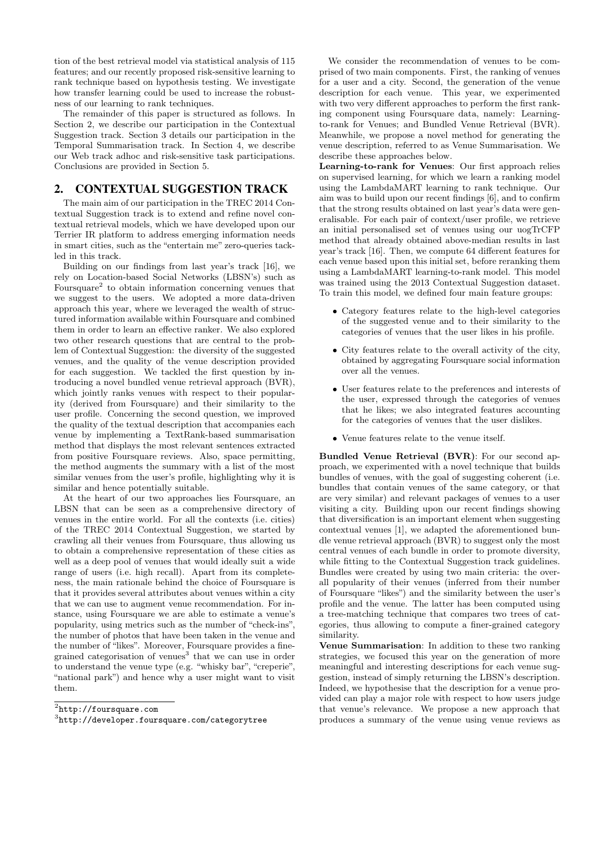tion of the best retrieval model via statistical analysis of 115 features; and our recently proposed risk-sensitive learning to rank technique based on hypothesis testing. We investigate how transfer learning could be used to increase the robustness of our learning to rank techniques.

The remainder of this paper is structured as follows. In Section 2, we describe our participation in the Contextual Suggestion track. Section 3 details our participation in the Temporal Summarisation track. In Section 4, we describe our Web track adhoc and risk-sensitive task participations. Conclusions are provided in Section 5.

## 2. CONTEXTUAL SUGGESTION TRACK

The main aim of our participation in the TREC 2014 Contextual Suggestion track is to extend and refine novel contextual retrieval models, which we have developed upon our Terrier IR platform to address emerging information needs in smart cities, such as the "entertain me" zero-queries tackled in this track.

Building on our findings from last year's track [16], we rely on Location-based Social Networks (LBSN's) such as Foursquare<sup>2</sup> to obtain information concerning venues that we suggest to the users. We adopted a more data-driven approach this year, where we leveraged the wealth of structured information available within Foursquare and combined them in order to learn an effective ranker. We also explored two other research questions that are central to the problem of Contextual Suggestion: the diversity of the suggested venues, and the quality of the venue description provided for each suggestion. We tackled the first question by introducing a novel bundled venue retrieval approach (BVR), which jointly ranks venues with respect to their popularity (derived from Foursquare) and their similarity to the user profile. Concerning the second question, we improved the quality of the textual description that accompanies each venue by implementing a TextRank-based summarisation method that displays the most relevant sentences extracted from positive Foursquare reviews. Also, space permitting, the method augments the summary with a list of the most similar venues from the user's profile, highlighting why it is similar and hence potentially suitable.

At the heart of our two approaches lies Foursquare, an LBSN that can be seen as a comprehensive directory of venues in the entire world. For all the contexts (i.e. cities) of the TREC 2014 Contextual Suggestion, we started by crawling all their venues from Foursquare, thus allowing us to obtain a comprehensive representation of these cities as well as a deep pool of venues that would ideally suit a wide range of users (i.e. high recall). Apart from its completeness, the main rationale behind the choice of Foursquare is that it provides several attributes about venues within a city that we can use to augment venue recommendation. For instance, using Foursquare we are able to estimate a venue's popularity, using metrics such as the number of "check-ins", the number of photos that have been taken in the venue and the number of "likes". Moreover, Foursquare provides a finegrained categorisation of venues<sup>3</sup> that we can use in order to understand the venue type (e.g. "whisky bar", "creperie", "national park") and hence why a user might want to visit them.

We consider the recommendation of venues to be comprised of two main components. First, the ranking of venues for a user and a city. Second, the generation of the venue description for each venue. This year, we experimented with two very different approaches to perform the first ranking component using Foursquare data, namely: Learningto-rank for Venues; and Bundled Venue Retrieval (BVR). Meanwhile, we propose a novel method for generating the venue description, referred to as Venue Summarisation. We describe these approaches below.

Learning-to-rank for Venues: Our first approach relies on supervised learning, for which we learn a ranking model using the LambdaMART learning to rank technique. Our aim was to build upon our recent findings [6], and to confirm that the strong results obtained on last year's data were generalisable. For each pair of context/user profile, we retrieve an initial personalised set of venues using our uogTrCFP method that already obtained above-median results in last year's track [16]. Then, we compute 64 different features for each venue based upon this initial set, before reranking them using a LambdaMART learning-to-rank model. This model was trained using the 2013 Contextual Suggestion dataset. To train this model, we defined four main feature groups:

- Category features relate to the high-level categories of the suggested venue and to their similarity to the categories of venues that the user likes in his profile.
- City features relate to the overall activity of the city, obtained by aggregating Foursquare social information over all the venues.
- User features relate to the preferences and interests of the user, expressed through the categories of venues that he likes; we also integrated features accounting for the categories of venues that the user dislikes.
- Venue features relate to the venue itself.

Bundled Venue Retrieval (BVR): For our second approach, we experimented with a novel technique that builds bundles of venues, with the goal of suggesting coherent (i.e. bundles that contain venues of the same category, or that are very similar) and relevant packages of venues to a user visiting a city. Building upon our recent findings showing that diversification is an important element when suggesting contextual venues [1], we adapted the aforementioned bundle venue retrieval approach (BVR) to suggest only the most central venues of each bundle in order to promote diversity, while fitting to the Contextual Suggestion track guidelines. Bundles were created by using two main criteria: the overall popularity of their venues (inferred from their number of Foursquare "likes") and the similarity between the user's profile and the venue. The latter has been computed using a tree-matching technique that compares two trees of categories, thus allowing to compute a finer-grained category similarity.

Venue Summarisation: In addition to these two ranking strategies, we focused this year on the generation of more meaningful and interesting descriptions for each venue suggestion, instead of simply returning the LBSN's description. Indeed, we hypothesise that the description for a venue provided can play a major role with respect to how users judge that venue's relevance. We propose a new approach that produces a summary of the venue using venue reviews as

 $^{2}$ http://foursquare.com

 $^3$ http://developer.foursquare.com/categorytree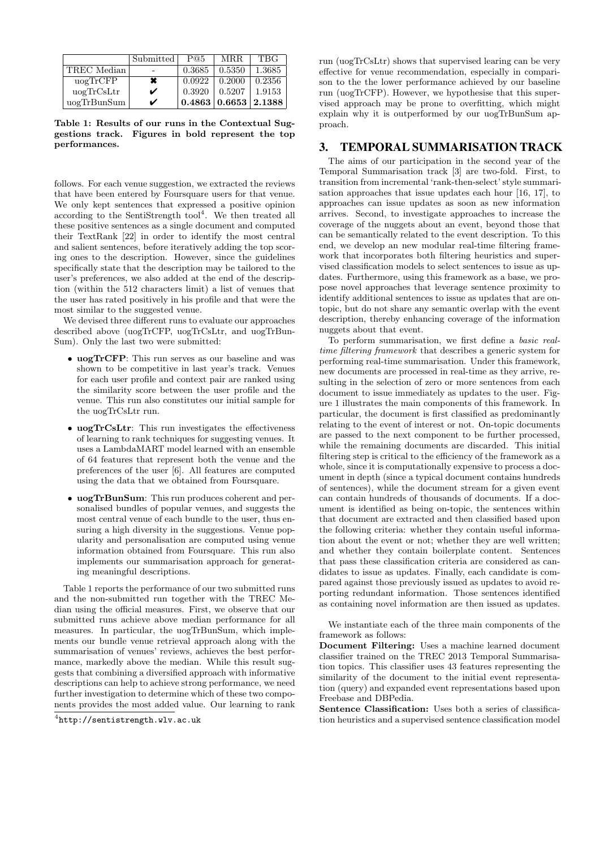|                         | Submitted      | P@5                                        | <b>MRR</b> | <b>TBG</b> |
|-------------------------|----------------|--------------------------------------------|------------|------------|
| TREC Median             |                | 0.3685                                     | 0.5350     | 1.3685     |
| $\mu$ og $\text{TrCFP}$ | $\pmb{\times}$ | 0.0922                                     | 0.2000     | 0.2356     |
| $\mu$ ogTrCsLtr         | V              | 0.3920                                     | 0.5207     | 1.9153     |
| uogTrBunSum             | ✓              | $\mid 0.4863 \mid 0.6653 \mid 2.1388 \mid$ |            |            |

Table 1: Results of our runs in the Contextual Suggestions track. Figures in bold represent the top performances.

follows. For each venue suggestion, we extracted the reviews that have been entered by Foursquare users for that venue. We only kept sentences that expressed a positive opinion according to the SentiStrength tool<sup>4</sup>. We then treated all these positive sentences as a single document and computed their TextRank [22] in order to identify the most central and salient sentences, before iteratively adding the top scoring ones to the description. However, since the guidelines specifically state that the description may be tailored to the user's preferences, we also added at the end of the description (within the 512 characters limit) a list of venues that the user has rated positively in his profile and that were the most similar to the suggested venue.

We devised three different runs to evaluate our approaches described above (uogTrCFP, uogTrCsLtr, and uogTrBun-Sum). Only the last two were submitted:

- uogTrCFP: This run serves as our baseline and was shown to be competitive in last year's track. Venues for each user profile and context pair are ranked using the similarity score between the user profile and the venue. This run also constitutes our initial sample for the uogTrCsLtr run.
- uogTrCsLtr: This run investigates the effectiveness of learning to rank techniques for suggesting venues. It uses a LambdaMART model learned with an ensemble of 64 features that represent both the venue and the preferences of the user [6]. All features are computed using the data that we obtained from Foursquare.
- uogTrBunSum: This run produces coherent and personalised bundles of popular venues, and suggests the most central venue of each bundle to the user, thus ensuring a high diversity in the suggestions. Venue popularity and personalisation are computed using venue information obtained from Foursquare. This run also implements our summarisation approach for generating meaningful descriptions.

Table 1 reports the performance of our two submitted runs and the non-submitted run together with the TREC Median using the official measures. First, we observe that our submitted runs achieve above median performance for all measures. In particular, the uogTrBunSum, which implements our bundle venue retrieval approach along with the summarisation of venues' reviews, achieves the best performance, markedly above the median. While this result suggests that combining a diversified approach with informative descriptions can help to achieve strong performance, we need further investigation to determine which of these two components provides the most added value. Our learning to rank

run (uogTrCsLtr) shows that supervised learing can be very effective for venue recommendation, especially in comparison to the the lower performance achieved by our baseline run (uogTrCFP). However, we hypothesise that this supervised approach may be prone to overfitting, which might explain why it is outperformed by our uogTrBunSum approach.

## 3. TEMPORAL SUMMARISATION TRACK

The aims of our participation in the second year of the Temporal Summarisation track [3] are two-fold. First, to transition from incremental 'rank-then-select' style summarisation approaches that issue updates each hour [16, 17], to approaches can issue updates as soon as new information arrives. Second, to investigate approaches to increase the coverage of the nuggets about an event, beyond those that can be semantically related to the event description. To this end, we develop an new modular real-time filtering framework that incorporates both filtering heuristics and supervised classification models to select sentences to issue as updates. Furthermore, using this framework as a base, we propose novel approaches that leverage sentence proximity to identify additional sentences to issue as updates that are ontopic, but do not share any semantic overlap with the event description, thereby enhancing coverage of the information nuggets about that event.

To perform summarisation, we first define a *basic real*time filtering framework that describes a generic system for performing real-time summarisation. Under this framework, new documents are processed in real-time as they arrive, resulting in the selection of zero or more sentences from each document to issue immediately as updates to the user. Figure 1 illustrates the main components of this framework. In particular, the document is first classified as predominantly relating to the event of interest or not. On-topic documents are passed to the next component to be further processed, while the remaining documents are discarded. This initial filtering step is critical to the efficiency of the framework as a whole, since it is computationally expensive to process a document in depth (since a typical document contains hundreds of sentences), while the document stream for a given event can contain hundreds of thousands of documents. If a document is identified as being on-topic, the sentences within that document are extracted and then classified based upon the following criteria: whether they contain useful information about the event or not; whether they are well written; and whether they contain boilerplate content. Sentences that pass these classification criteria are considered as candidates to issue as updates. Finally, each candidate is compared against those previously issued as updates to avoid reporting redundant information. Those sentences identified as containing novel information are then issued as updates.

We instantiate each of the three main components of the framework as follows:

Sentence Classification: Uses both a series of classification heuristics and a supervised sentence classification model

<sup>4</sup> http://sentistrength.wlv.ac.uk

Document Filtering: Uses a machine learned document classifier trained on the TREC 2013 Temporal Summarisation topics. This classifier uses 43 features representing the similarity of the document to the initial event representation (query) and expanded event representations based upon Freebase and DBPedia.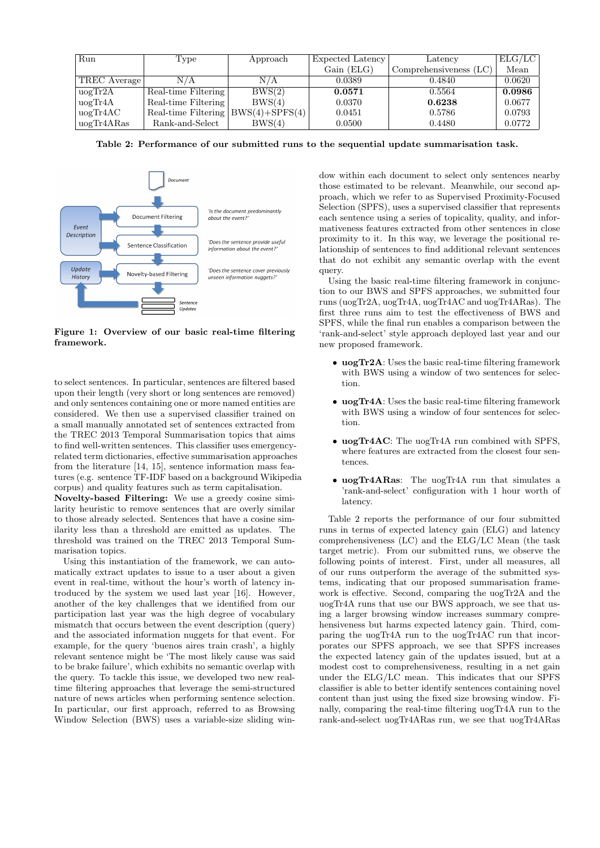| Run                            | Type                                   | Approach | Expected Latency | Latency                  | ELG/LC |
|--------------------------------|----------------------------------------|----------|------------------|--------------------------|--------|
|                                |                                        |          | Gain (ELG)       | Comprehensiveness $(LC)$ | Mean   |
| TREC Average                   | N/A                                    | N/A      | 0.0389           | 0.4840                   | 0.0620 |
| $\mu$ og $\text{Tr}2\text{A}$  | Real-time Filtering                    | BWS(2)   | 0.0571           | 0.5564                   | 0.0986 |
| $\mu$ og $\text{Tr}4\text{A}$  | Real-time Filtering                    | BWS(4)   | 0.0370           | 0.6238                   | 0.0677 |
| $\mu$ og $\text{Tr}4\text{AC}$ | Real-time Filtering $ BWS(4)+SPFS(4) $ |          | 0.0451           | 0.5786                   | 0.0793 |
| uogTr4ARas                     | Rank-and-Select                        | BWS(4)   | 0.0500           | 0.4480                   | 0.0772 |

Table 2: Performance of our submitted runs to the sequential update summarisation task.



Figure 1: Overview of our basic real-time filtering framework.

to select sentences. In particular, sentences are filtered based upon their length (very short or long sentences are removed) and only sentences containing one or more named entities are considered. We then use a supervised classifier trained on a small manually annotated set of sentences extracted from the TREC 2013 Temporal Summarisation topics that aims to find well-written sentences. This classifier uses emergencyrelated term dictionaries, effective summarisation approaches from the literature [14, 15], sentence information mass features (e.g. sentence TF-IDF based on a background Wikipedia corpus) and quality features such as term capitalisation.

Novelty-based Filtering: We use a greedy cosine similarity heuristic to remove sentences that are overly similar to those already selected. Sentences that have a cosine similarity less than a threshold are emitted as updates. The threshold was trained on the TREC 2013 Temporal Summarisation topics.

Using this instantiation of the framework, we can automatically extract updates to issue to a user about a given event in real-time, without the hour's worth of latency introduced by the system we used last year [16]. However, another of the key challenges that we identified from our participation last year was the high degree of vocabulary mismatch that occurs between the event description (query) and the associated information nuggets for that event. For example, for the query 'buenos aires train crash', a highly relevant sentence might be 'The most likely cause was said to be brake failure', which exhibits no semantic overlap with the query. To tackle this issue, we developed two new realtime filtering approaches that leverage the semi-structured nature of news articles when performing sentence selection. In particular, our first approach, referred to as Browsing Window Selection (BWS) uses a variable-size sliding win-

dow within each document to select only sentences nearby those estimated to be relevant. Meanwhile, our second approach, which we refer to as Supervised Proximity-Focused Selection (SPFS), uses a supervised classifier that represents each sentence using a series of topicality, quality, and informativeness features extracted from other sentences in close proximity to it. In this way, we leverage the positional relationship of sentences to find additional relevant sentences that do not exhibit any semantic overlap with the event query.

Using the basic real-time filtering framework in conjunction to our BWS and SPFS approaches, we submitted four runs (uogTr2A, uogTr4A, uogTr4AC and uogTr4ARas). The first three runs aim to test the effectiveness of BWS and SPFS, while the final run enables a comparison between the 'rank-and-select' style approach deployed last year and our new proposed framework.

- uogTr2A: Uses the basic real-time filtering framework with BWS using a window of two sentences for selection.
- uogTr4A: Uses the basic real-time filtering framework with BWS using a window of four sentences for selection.
- uogTr4AC: The uogTr4A run combined with SPFS, where features are extracted from the closest four sentences.
- uogTr4ARas: The uogTr4A run that simulates a 'rank-and-select' configuration with 1 hour worth of latency.

Table 2 reports the performance of our four submitted runs in terms of expected latency gain (ELG) and latency comprehensiveness (LC) and the ELG/LC Mean (the task target metric). From our submitted runs, we observe the following points of interest. First, under all measures, all of our runs outperform the average of the submitted systems, indicating that our proposed summarisation framework is effective. Second, comparing the uogTr2A and the uogTr4A runs that use our BWS approach, we see that using a larger browsing window increases summary comprehensiveness but harms expected latency gain. Third, comparing the uogTr4A run to the uogTr4AC run that incorporates our SPFS approach, we see that SPFS increases the expected latency gain of the updates issued, but at a modest cost to comprehensiveness, resulting in a net gain under the ELG/LC mean. This indicates that our SPFS classifier is able to better identify sentences containing novel content than just using the fixed size browsing window. Finally, comparing the real-time filtering uogTr4A run to the rank-and-select uogTr4ARas run, we see that uogTr4ARas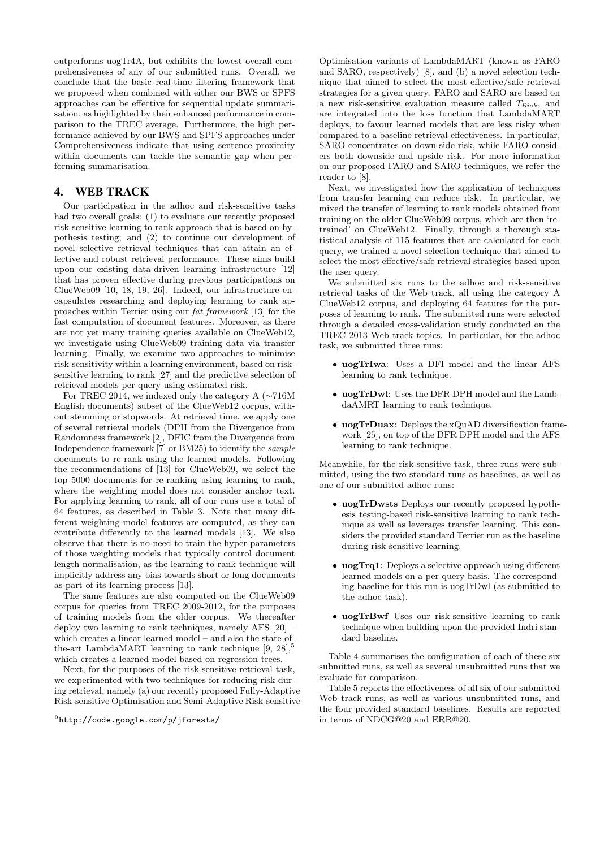outperforms uogTr4A, but exhibits the lowest overall comprehensiveness of any of our submitted runs. Overall, we conclude that the basic real-time filtering framework that we proposed when combined with either our BWS or SPFS approaches can be effective for sequential update summarisation, as highlighted by their enhanced performance in comparison to the TREC average. Furthermore, the high performance achieved by our BWS and SPFS approaches under Comprehensiveness indicate that using sentence proximity within documents can tackle the semantic gap when performing summarisation.

# 4. WEB TRACK

Our participation in the adhoc and risk-sensitive tasks had two overall goals: (1) to evaluate our recently proposed risk-sensitive learning to rank approach that is based on hypothesis testing; and (2) to continue our development of novel selective retrieval techniques that can attain an effective and robust retrieval performance. These aims build upon our existing data-driven learning infrastructure [12] that has proven effective during previous participations on ClueWeb09 [10, 18, 19, 26]. Indeed, our infrastructure encapsulates researching and deploying learning to rank approaches within Terrier using our fat framework [13] for the fast computation of document features. Moreover, as there are not yet many training queries available on ClueWeb12, we investigate using ClueWeb09 training data via transfer learning. Finally, we examine two approaches to minimise risk-sensitivity within a learning environment, based on risksensitive learning to rank [27] and the predictive selection of retrieval models per-query using estimated risk.

For TREC 2014, we indexed only the category A (∼716M English documents) subset of the ClueWeb12 corpus, without stemming or stopwords. At retrieval time, we apply one of several retrieval models (DPH from the Divergence from Randomness framework [2], DFIC from the Divergence from Independence framework [7] or BM25) to identify the sample documents to re-rank using the learned models. Following the recommendations of [13] for ClueWeb09, we select the top 5000 documents for re-ranking using learning to rank, where the weighting model does not consider anchor text. For applying learning to rank, all of our runs use a total of 64 features, as described in Table 3. Note that many different weighting model features are computed, as they can contribute differently to the learned models [13]. We also observe that there is no need to train the hyper-parameters of those weighting models that typically control document length normalisation, as the learning to rank technique will implicitly address any bias towards short or long documents as part of its learning process [13].

The same features are also computed on the ClueWeb09 corpus for queries from TREC 2009-2012, for the purposes of training models from the older corpus. We thereafter deploy two learning to rank techniques, namely AFS [20] – which creates a linear learned model – and also the state-ofthe-art LambdaMART learning to rank technique  $[9, 28]$ ,<sup>5</sup> which creates a learned model based on regression trees.

Next, for the purposes of the risk-sensitive retrieval task, we experimented with two techniques for reducing risk during retrieval, namely (a) our recently proposed Fully-Adaptive Risk-sensitive Optimisation and Semi-Adaptive Risk-sensitive

Optimisation variants of LambdaMART (known as FARO and SARO, respectively) [8], and (b) a novel selection technique that aimed to select the most effective/safe retrieval strategies for a given query. FARO and SARO are based on a new risk-sensitive evaluation measure called  $T_{Risk}$ , and are integrated into the loss function that LambdaMART deploys, to favour learned models that are less risky when compared to a baseline retrieval effectiveness. In particular, SARO concentrates on down-side risk, while FARO considers both downside and upside risk. For more information on our proposed FARO and SARO techniques, we refer the reader to [8].

Next, we investigated how the application of techniques from transfer learning can reduce risk. In particular, we mixed the transfer of learning to rank models obtained from training on the older ClueWeb09 corpus, which are then 'retrained' on ClueWeb12. Finally, through a thorough statistical analysis of 115 features that are calculated for each query, we trained a novel selection technique that aimed to select the most effective/safe retrieval strategies based upon the user query.

We submitted six runs to the adhoc and risk-sensitive retrieval tasks of the Web track, all using the category A ClueWeb12 corpus, and deploying 64 features for the purposes of learning to rank. The submitted runs were selected through a detailed cross-validation study conducted on the TREC 2013 Web track topics. In particular, for the adhoc task, we submitted three runs:

- uogTrIwa: Uses a DFI model and the linear AFS learning to rank technique.
- uogTrDwl: Uses the DFR DPH model and the LambdaAMRT learning to rank technique.
- uogTrDuax: Deploys the xQuAD diversification framework [25], on top of the DFR DPH model and the AFS learning to rank technique.

Meanwhile, for the risk-sensitive task, three runs were submitted, using the two standard runs as baselines, as well as one of our submitted adhoc runs:

- uogTrDwsts Deploys our recently proposed hypothesis testing-based risk-sensitive learning to rank technique as well as leverages transfer learning. This considers the provided standard Terrier run as the baseline during risk-sensitive learning.
- uogTrq1: Deploys a selective approach using different learned models on a per-query basis. The corresponding baseline for this run is uogTrDwl (as submitted to the adhoc task).
- uogTrBwf Uses our risk-sensitive learning to rank technique when building upon the provided Indri standard baseline.

Table 4 summarises the configuration of each of these six submitted runs, as well as several unsubmitted runs that we evaluate for comparison.

Table 5 reports the effectiveness of all six of our submitted Web track runs, as well as various unsubmitted runs, and the four provided standard baselines. Results are reported in terms of NDCG@20 and ERR@20.

 $^{5}$ http://code.google.com/p/jforests/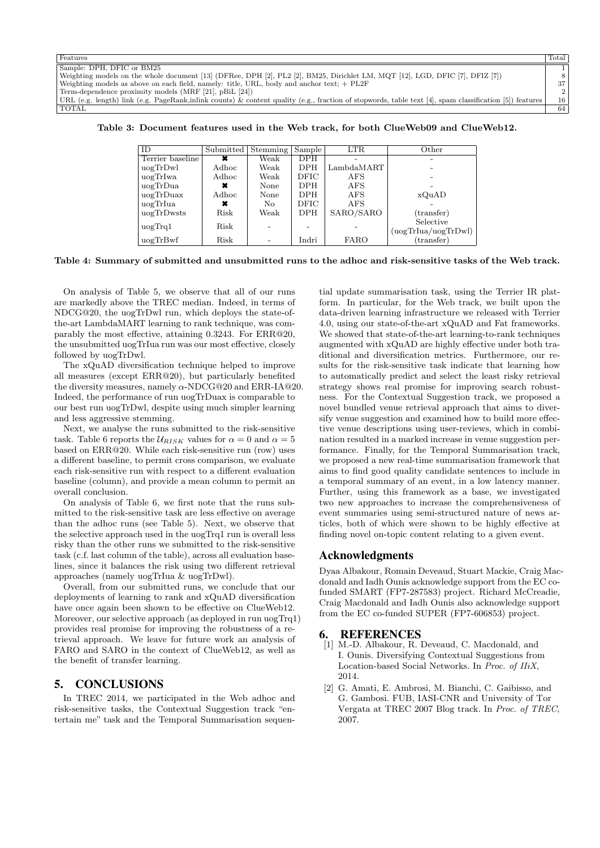| Total                                                                                                                                                        |
|--------------------------------------------------------------------------------------------------------------------------------------------------------------|
|                                                                                                                                                              |
|                                                                                                                                                              |
| 37                                                                                                                                                           |
|                                                                                                                                                              |
| 16<br>URL (e.g. length) link (e.g. PageRank,inlink counts) & content quality (e.g., fraction of stopwords, table text [4], spam classification [5]) features |
| 64                                                                                                                                                           |
|                                                                                                                                                              |

Table 3: Document features used in the Web track, for both ClueWeb09 and ClueWeb12.

| ID               | Submitted | Stemming | Sample      | <b>LTR</b>  | Other               |
|------------------|-----------|----------|-------------|-------------|---------------------|
| Terrier baseline | ×         | Weak     | <b>DPH</b>  |             |                     |
| uogTrDwl         | Adhoc     | Weak     | <b>DPH</b>  | LambdaMART  |                     |
| uogTrIwa         | Adhoc     | Weak     | <b>DFIC</b> | AFS         |                     |
| uogTrDua         | ×         | None     | <b>DPH</b>  | <b>AFS</b>  |                     |
| uogTrDuax        | Adhoc     | None     | <b>DPH</b>  | <b>AFS</b>  | xQuAD               |
| uogTrIua         | ×         | No.      | DFIC        | <b>AFS</b>  |                     |
| uogTrDwsts       | Risk      | Weak     | <b>DPH</b>  | SARO/SARO   | (transfer)          |
| uogTrq1          | Risk      |          |             |             | Selective           |
|                  |           |          |             |             | (uogTrIua/uogTrDwl) |
| uogTrBwf         | Risk      |          | Indri       | <b>FARO</b> | $(\text{transfer})$ |

#### Table 4: Summary of submitted and unsubmitted runs to the adhoc and risk-sensitive tasks of the Web track.

On analysis of Table 5, we observe that all of our runs are markedly above the TREC median. Indeed, in terms of NDCG@20, the uogTrDwl run, which deploys the state-ofthe-art LambdaMART learning to rank technique, was comparably the most effective, attaining 0.3243. For ERR@20, the unsubmitted uogTrIua run was our most effective, closely followed by uogTrDwl.

The xQuAD diversification technique helped to improve all measures (except ERR@20), but particularly benefited the diversity measures, namely  $\alpha$ -NDCG@20 and ERR-IA@20. Indeed, the performance of run uogTrDuax is comparable to our best run uogTrDwl, despite using much simpler learning and less aggressive stemming.

Next, we analyse the runs submitted to the risk-sensitive task. Table 6 reports the  $U_{RISK}$  values for  $\alpha = 0$  and  $\alpha = 5$ based on ERR@20. While each risk-sensitive run (row) uses a different baseline, to permit cross comparison, we evaluate each risk-sensitive run with respect to a different evaluation baseline (column), and provide a mean column to permit an overall conclusion.

On analysis of Table 6, we first note that the runs submitted to the risk-sensitive task are less effective on average than the adhoc runs (see Table 5). Next, we observe that the selective approach used in the uogTrq1 run is overall less risky than the other runs we submitted to the risk-sensitive task (c.f. last column of the table), across all evaluation baselines, since it balances the risk using two different retrieval approaches (namely uogTrIua & uogTrDwl).

Overall, from our submitted runs, we conclude that our deployments of learning to rank and xQuAD diversification have once again been shown to be effective on ClueWeb12. Moreover, our selective approach (as deployed in run uogTrq1) provides real promise for improving the robustness of a retrieval approach. We leave for future work an analysis of FARO and SARO in the context of ClueWeb12, as well as the benefit of transfer learning.

## 5. CONCLUSIONS

In TREC 2014, we participated in the Web adhoc and risk-sensitive tasks, the Contextual Suggestion track "entertain me" task and the Temporal Summarisation sequential update summarisation task, using the Terrier IR platform. In particular, for the Web track, we built upon the data-driven learning infrastructure we released with Terrier 4.0, using our state-of-the-art xQuAD and Fat frameworks. We showed that state-of-the-art learning-to-rank techniques augmented with xQuAD are highly effective under both traditional and diversification metrics. Furthermore, our results for the risk-sensitive task indicate that learning how to automatically predict and select the least risky retrieval strategy shows real promise for improving search robustness. For the Contextual Suggestion track, we proposed a novel bundled venue retrieval approach that aims to diversify venue suggestion and examined how to build more effective venue descriptions using user-reviews, which in combination resulted in a marked increase in venue suggestion performance. Finally, for the Temporal Summarisation track, we proposed a new real-time summarisation framework that aims to find good quality candidate sentences to include in a temporal summary of an event, in a low latency manner. Further, using this framework as a base, we investigated two new approaches to increase the comprehensiveness of event summaries using semi-structured nature of news articles, both of which were shown to be highly effective at finding novel on-topic content relating to a given event.

## Acknowledgments

Dyaa Albakour, Romain Deveaud, Stuart Mackie, Craig Macdonald and Iadh Ounis acknowledge support from the EC cofunded SMART (FP7-287583) project. Richard McCreadie, Craig Macdonald and Iadh Ounis also acknowledge support from the EC co-funded SUPER (FP7-606853) project.

### 6. REFERENCES

- [1] M.-D. Albakour, R. Deveaud, C. Macdonald, and I. Ounis. Diversifying Contextual Suggestions from Location-based Social Networks. In Proc. of IIiX, 2014.
- [2] G. Amati, E. Ambrosi, M. Bianchi, C. Gaibisso, and G. Gambosi. FUB, IASI-CNR and University of Tor Vergata at TREC 2007 Blog track. In Proc. of TREC, 2007.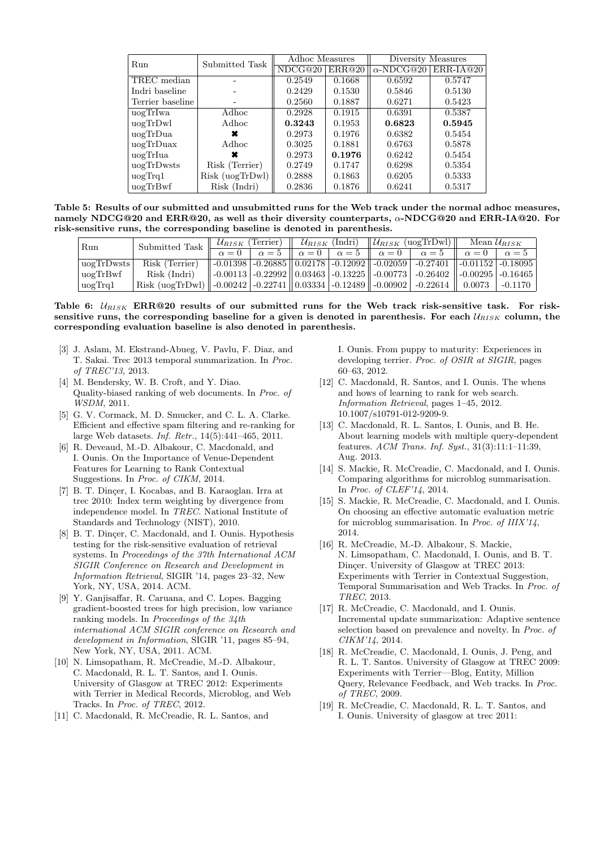| Run              | Submitted Task  | Adhoc Measures |        | Diversity Measures |             |  |
|------------------|-----------------|----------------|--------|--------------------|-------------|--|
|                  |                 | NDCG@20        | ERR@20 | $\alpha$ -NDCG@20  | $ERR-IA@20$ |  |
| TREC median      |                 | 0.2549         | 0.1668 | 0.6592             | 0.5747      |  |
| Indri baseline   |                 | 0.2429         | 0.1530 | 0.5846             | 0.5130      |  |
| Terrier baseline |                 | 0.2560         | 0.1887 | 0.6271             | 0.5423      |  |
| uogTrIwa         | Adhoc           | 0.2928         | 0.1915 | 0.6391             | 0.5387      |  |
| uogTrDwl         | Adhoc           | 0.3243         | 0.1953 | 0.6823             | 0.5945      |  |
| uogTrDua         |                 | 0.2973         | 0.1976 | 0.6382             | 0.5454      |  |
| uogTrDuax        | Adhoc           | 0.3025         | 0.1881 | 0.6763             | 0.5878      |  |
| uogTrIua         |                 | 0.2973         | 0.1976 | 0.6242             | 0.5454      |  |
| uogTrDwsts       | Risk (Terrier)  | 0.2749         | 0.1747 | 0.6298             | 0.5354      |  |
| $u$ og $Trq1$    | Risk (uogTrDwl) | 0.2888         | 0.1863 | 0.6205             | 0.5333      |  |
| uogTrBwf         | Risk (Indri)    | 0.2836         | 0.1876 | 0.6241             | 0.5317      |  |

Table 5: Results of our submitted and unsubmitted runs for the Web track under the normal adhoc measures, namely NDCG@20 and ERR@20, as well as their diversity counterparts,  $\alpha$ -NDCG@20 and ERR-IA@20. For risk-sensitive runs, the corresponding baseline is denoted in parenthesis.

| Run         | Submitted Task $\ $                                                                                                               |  |  |  |  | $\mathcal{U}_{RISK}$ (Terrier) $\parallel \mathcal{U}_{RISK}$ (Indri) $\parallel \mathcal{U}_{RISK}$ (uogTrDwl) $\parallel$ Mean $\mathcal{U}_{RISK}$ |                                                                                                                                                |  |         |
|-------------|-----------------------------------------------------------------------------------------------------------------------------------|--|--|--|--|-------------------------------------------------------------------------------------------------------------------------------------------------------|------------------------------------------------------------------------------------------------------------------------------------------------|--|---------|
|             |                                                                                                                                   |  |  |  |  |                                                                                                                                                       | $\alpha = 0$ $\alpha = 5$ $\alpha = 0$ $\alpha = 5$ $\alpha = 0$ $\alpha = 5$ $\alpha = 5$ $\alpha = 0$ $\alpha = 5$                           |  |         |
| uogTrDwsts  | Risk (Terrier)                                                                                                                    |  |  |  |  |                                                                                                                                                       | $\left  \begin{array}{c c c c c c c} -0.01398 & -0.26885 & 0.02178 & -0.12092 & -0.02059 & -0.27401 & -0.01152 & -0.18095 \end{array} \right $ |  |         |
| uogTrBwf    | Risk (Indri)                                                                                                                      |  |  |  |  |                                                                                                                                                       | $\parallel$ -0.00113   -0.22992    0.03463   -0.13225    -0.00773   -0.26402    -0.00295   -0.16465                                            |  |         |
| $\log$ Trq1 | Risk (uogTrDwl) $\parallel$ -0.00242   -0.22741 $\parallel$ 0.03334   -0.12489 $\parallel$ -0.00902   -0.22614 $\parallel$ 0.0073 |  |  |  |  |                                                                                                                                                       |                                                                                                                                                |  | -0.1170 |

## Table 6:  $U_{RISK}$  ERR@20 results of our submitted runs for the Web track risk-sensitive task. For risksensitive runs, the corresponding baseline for a given is denoted in parenthesis. For each  $U_{RISK}$  column, the corresponding evaluation baseline is also denoted in parenthesis.

- [3] J. Aslam, M. Ekstrand-Abueg, V. Pavlu, F. Diaz, and T. Sakai. Trec 2013 temporal summarization. In Proc. of TREC'13, 2013.
- [4] M. Bendersky, W. B. Croft, and Y. Diao. Quality-biased ranking of web documents. In Proc. of WSDM, 2011.
- [5] G. V. Cormack, M. D. Smucker, and C. L. A. Clarke. Efficient and effective spam filtering and re-ranking for large Web datasets. Inf. Retr., 14(5):441–465, 2011.
- [6] R. Deveaud, M.-D. Albakour, C. Macdonald, and I. Ounis. On the Importance of Venue-Dependent Features for Learning to Rank Contextual Suggestions. In Proc. of CIKM, 2014.
- [7] B. T. Dinçer, I. Kocabas, and B. Karaoglan. Irra at trec 2010: Index term weighting by divergence from independence model. In TREC. National Institute of Standards and Technology (NIST), 2010.
- [8] B. T. Dinçer, C. Macdonald, and I. Ounis. Hypothesis testing for the risk-sensitive evaluation of retrieval systems. In Proceedings of the 37th International ACM SIGIR Conference on Research and Development in Information Retrieval, SIGIR '14, pages 23–32, New York, NY, USA, 2014. ACM.
- [9] Y. Ganjisaffar, R. Caruana, and C. Lopes. Bagging gradient-boosted trees for high precision, low variance ranking models. In Proceedings of the 34th international ACM SIGIR conference on Research and development in Information, SIGIR '11, pages 85–94, New York, NY, USA, 2011. ACM.
- [10] N. Limsopatham, R. McCreadie, M.-D. Albakour, C. Macdonald, R. L. T. Santos, and I. Ounis. University of Glasgow at TREC 2012: Experiments with Terrier in Medical Records, Microblog, and Web Tracks. In Proc. of TREC, 2012.
- [11] C. Macdonald, R. McCreadie, R. L. Santos, and

I. Ounis. From puppy to maturity: Experiences in developing terrier. Proc. of OSIR at SIGIR, pages 60–63, 2012.

- [12] C. Macdonald, R. Santos, and I. Ounis. The whens and hows of learning to rank for web search. Information Retrieval, pages 1–45, 2012. 10.1007/s10791-012-9209-9.
- [13] C. Macdonald, R. L. Santos, I. Ounis, and B. He. About learning models with multiple query-dependent features. ACM Trans. Inf. Syst., 31(3):11:1–11:39, Aug. 2013.
- [14] S. Mackie, R. McCreadie, C. Macdonald, and I. Ounis. Comparing algorithms for microblog summarisation. In Proc. of CLEF'14, 2014.
- [15] S. Mackie, R. McCreadie, C. Macdonald, and I. Ounis. On choosing an effective automatic evaluation metric for microblog summarisation. In Proc. of IIIX'14, 2014.
- [16] R. McCreadie, M.-D. Albakour, S. Mackie, N. Limsopatham, C. Macdonald, I. Ounis, and B. T. Dinçer. University of Glasgow at TREC 2013: Experiments with Terrier in Contextual Suggestion, Temporal Summarisation and Web Tracks. In Proc. of TREC, 2013.
- [17] R. McCreadie, C. Macdonald, and I. Ounis. Incremental update summarization: Adaptive sentence selection based on prevalence and novelty. In Proc. of CIKM'14, 2014.
- [18] R. McCreadie, C. Macdonald, I. Ounis, J. Peng, and R. L. T. Santos. University of Glasgow at TREC 2009: Experiments with Terrier—Blog, Entity, Million Query, Relevance Feedback, and Web tracks. In Proc. of TREC, 2009.
- [19] R. McCreadie, C. Macdonald, R. L. T. Santos, and I. Ounis. University of glasgow at trec 2011: